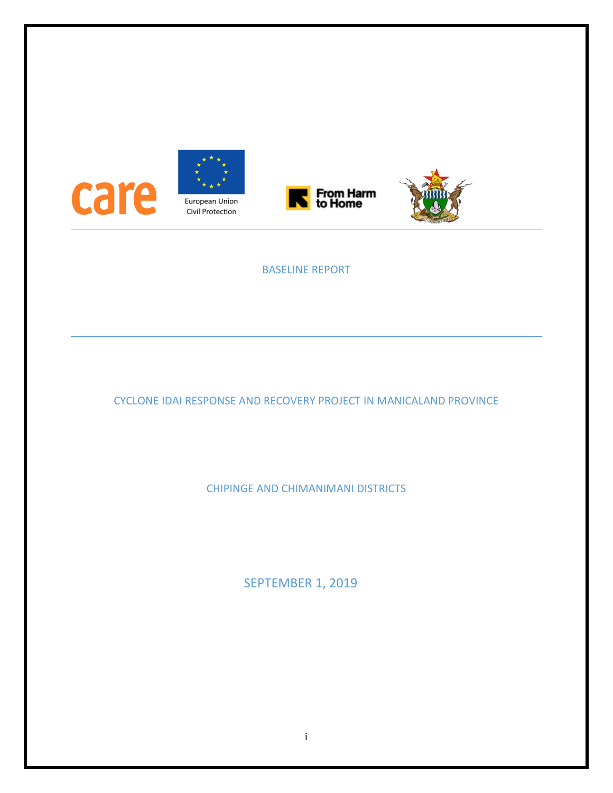

## BASELINE REPORT

CYCLONE IDAI RESPONSE AND RECOVERY PROJECT IN MANICALAND PROVINCE

CHIPINGE AND CHIMANIMANI DISTRICTS

SEPTEMBER 1, 2019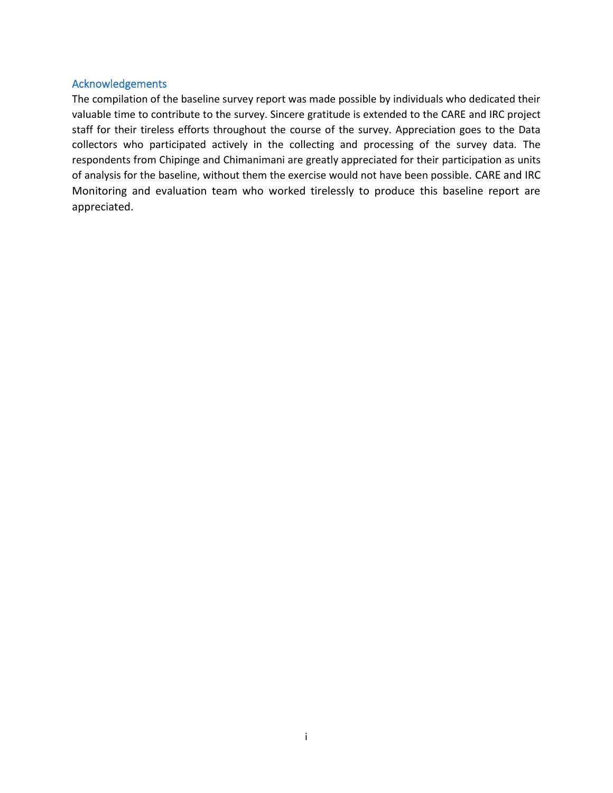#### <span id="page-1-0"></span>Acknowledgements

The compilation of the baseline survey report was made possible by individuals who dedicated their valuable time to contribute to the survey. Sincere gratitude is extended to the CARE and IRC project staff for their tireless efforts throughout the course of the survey. Appreciation goes to the Data collectors who participated actively in the collecting and processing of the survey data. The respondents from Chipinge and Chimanimani are greatly appreciated for their participation as units of analysis for the baseline, without them the exercise would not have been possible. CARE and IRC Monitoring and evaluation team who worked tirelessly to produce this baseline report are appreciated.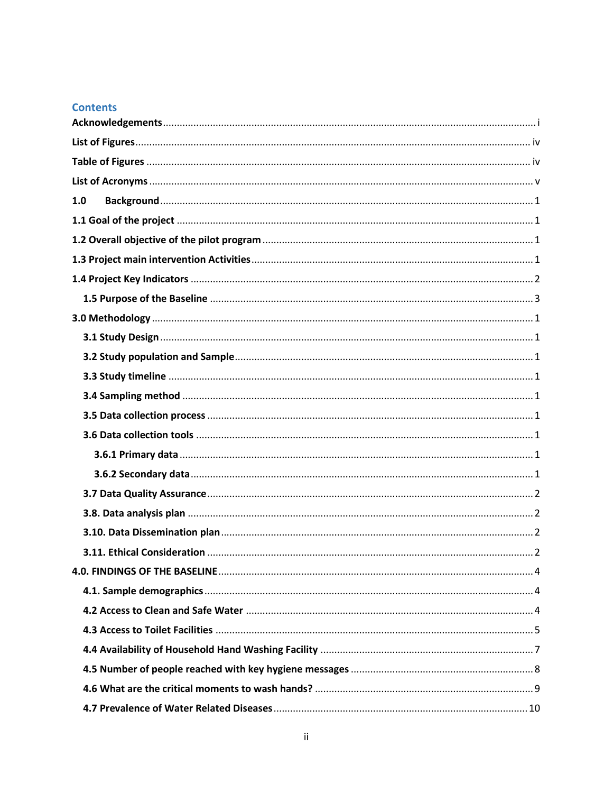## **Contents**

| 1.0 |
|-----|
|     |
|     |
|     |
|     |
|     |
|     |
|     |
|     |
|     |
|     |
|     |
|     |
|     |
|     |
|     |
|     |
|     |
|     |
|     |
|     |
|     |
|     |
|     |
|     |
|     |
|     |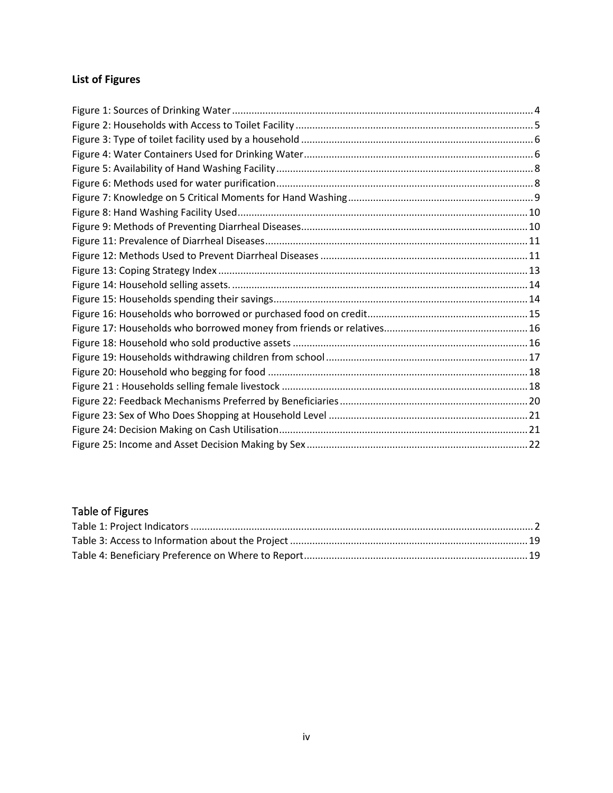# <span id="page-4-0"></span>**List of Figures**

## <span id="page-4-1"></span>Table of Figures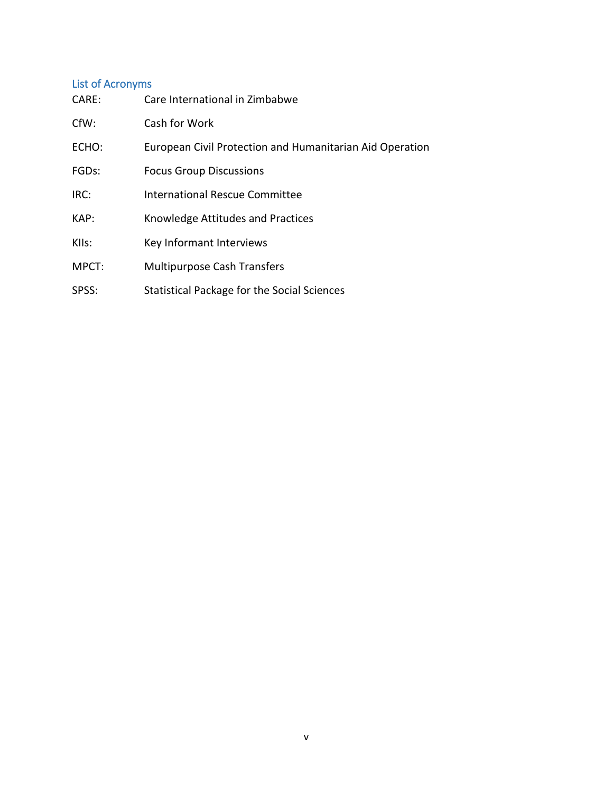## <span id="page-5-0"></span>List of Acronyms

| CARE:              | Care International in Zimbabwe                           |
|--------------------|----------------------------------------------------------|
| CfW:               | Cash for Work                                            |
| ECHO:              | European Civil Protection and Humanitarian Aid Operation |
| FGD <sub>s</sub> : | <b>Focus Group Discussions</b>                           |
| IRC:               | <b>International Rescue Committee</b>                    |
| KAP:               | Knowledge Attitudes and Practices                        |
| KIIs:              | Key Informant Interviews                                 |
| MPCT:              | <b>Multipurpose Cash Transfers</b>                       |
| SPSS:              | Statistical Package for the Social Sciences              |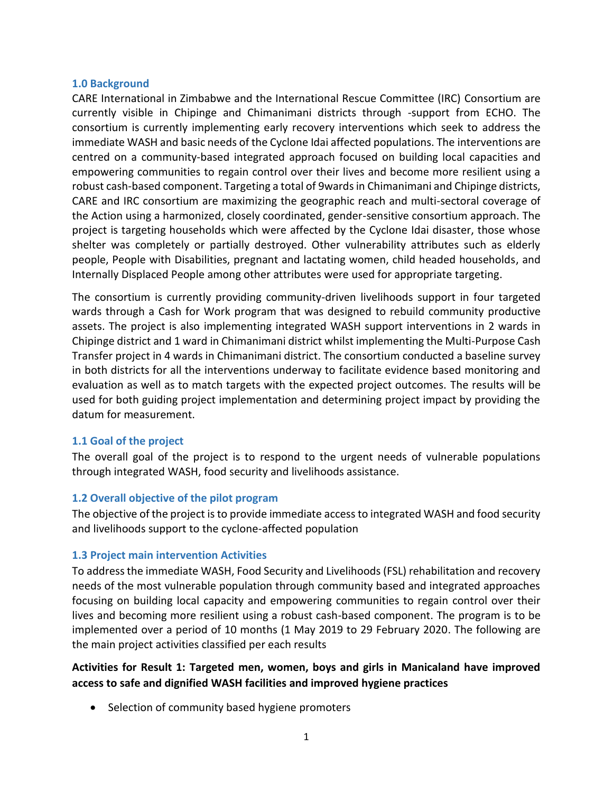#### <span id="page-6-0"></span>**1.0 Background**

CARE International in Zimbabwe and the International Rescue Committee (IRC) Consortium are currently visible in Chipinge and Chimanimani districts through -support from ECHO. The consortium is currently implementing early recovery interventions which seek to address the immediate WASH and basic needs of the Cyclone Idai affected populations. The interventions are centred on a community-based integrated approach focused on building local capacities and empowering communities to regain control over their lives and become more resilient using a robust cash-based component. Targeting a total of 9wards in Chimanimani and Chipinge districts, CARE and IRC consortium are maximizing the geographic reach and multi-sectoral coverage of the Action using a harmonized, closely coordinated, gender-sensitive consortium approach. The project is targeting households which were affected by the Cyclone Idai disaster, those whose shelter was completely or partially destroyed. Other vulnerability attributes such as elderly people, People with Disabilities, pregnant and lactating women, child headed households, and Internally Displaced People among other attributes were used for appropriate targeting.

The consortium is currently providing community-driven livelihoods support in four targeted wards through a Cash for Work program that was designed to rebuild community productive assets. The project is also implementing integrated WASH support interventions in 2 wards in Chipinge district and 1 ward in Chimanimani district whilst implementing the Multi-Purpose Cash Transfer project in 4 wards in Chimanimani district. The consortium conducted a baseline survey in both districts for all the interventions underway to facilitate evidence based monitoring and evaluation as well as to match targets with the expected project outcomes. The results will be used for both guiding project implementation and determining project impact by providing the datum for measurement.

### <span id="page-6-1"></span>**1.1 Goal of the project**

The overall goal of the project is to respond to the urgent needs of vulnerable populations through integrated WASH, food security and livelihoods assistance.

### <span id="page-6-2"></span>**1.2 Overall objective of the pilot program**

The objective of the project is to provide immediate access to integrated WASH and food security and livelihoods support to the cyclone-affected population

### <span id="page-6-3"></span>**1.3 Project main intervention Activities**

To address the immediate WASH, Food Security and Livelihoods (FSL) rehabilitation and recovery needs of the most vulnerable population through community based and integrated approaches focusing on building local capacity and empowering communities to regain control over their lives and becoming more resilient using a robust cash-based component. The program is to be implemented over a period of 10 months (1 May 2019 to 29 February 2020. The following are the main project activities classified per each results

## **Activities for Result 1: Targeted men, women, boys and girls in Manicaland have improved access to safe and dignified WASH facilities and improved hygiene practices**

• Selection of community based hygiene promoters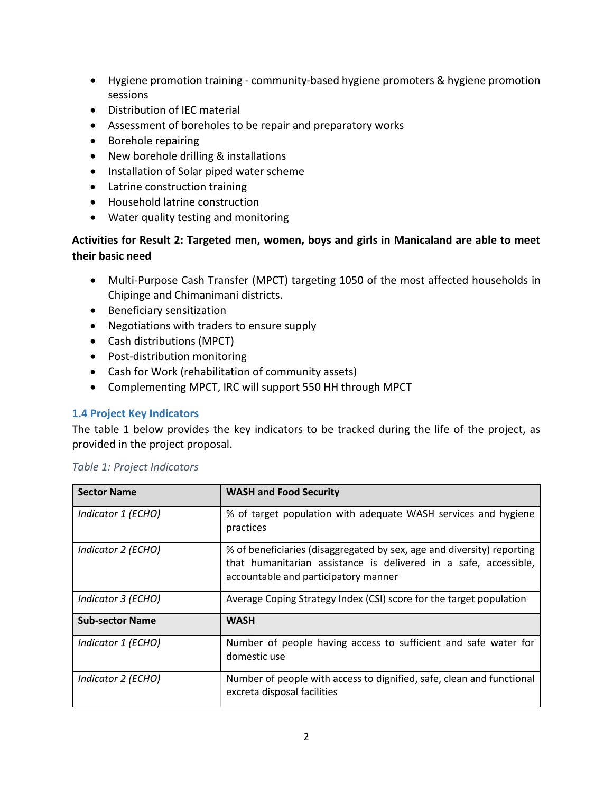- Hygiene promotion training community-based hygiene promoters & hygiene promotion sessions
- Distribution of IEC material
- Assessment of boreholes to be repair and preparatory works
- Borehole repairing
- New borehole drilling & installations
- Installation of Solar piped water scheme
- Latrine construction training
- Household latrine construction
- Water quality testing and monitoring

## **Activities for Result 2: Targeted men, women, boys and girls in Manicaland are able to meet their basic need**

- Multi-Purpose Cash Transfer (MPCT) targeting 1050 of the most affected households in Chipinge and Chimanimani districts.
- Beneficiary sensitization
- Negotiations with traders to ensure supply
- Cash distributions (MPCT)
- Post-distribution monitoring
- Cash for Work (rehabilitation of community assets)
- Complementing MPCT, IRC will support 550 HH through MPCT

### <span id="page-7-0"></span>**1.4 Project Key Indicators**

The table 1 below provides the key indicators to be tracked during the life of the project, as provided in the project proposal.

| <b>Sector Name</b>     | <b>WASH and Food Security</b>                                                                                                                                                      |
|------------------------|------------------------------------------------------------------------------------------------------------------------------------------------------------------------------------|
| Indicator 1 (ECHO)     | % of target population with adequate WASH services and hygiene<br>practices                                                                                                        |
| Indicator 2 (ECHO)     | % of beneficiaries (disaggregated by sex, age and diversity) reporting<br>that humanitarian assistance is delivered in a safe, accessible,<br>accountable and participatory manner |
| Indicator 3 (ECHO)     | Average Coping Strategy Index (CSI) score for the target population                                                                                                                |
| <b>Sub-sector Name</b> | <b>WASH</b>                                                                                                                                                                        |
| Indicator 1 (ECHO)     | Number of people having access to sufficient and safe water for<br>domestic use                                                                                                    |
| Indicator 2 (ECHO)     | Number of people with access to dignified, safe, clean and functional<br>excreta disposal facilities                                                                               |

### <span id="page-7-1"></span>*Table 1: Project Indicators*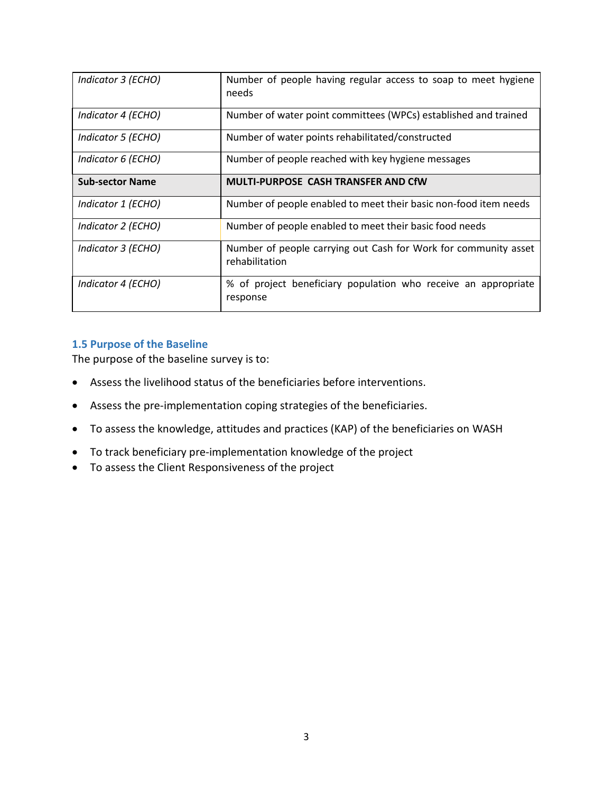| Indicator 3 (ECHO)     | Number of people having regular access to soap to meet hygiene<br>needs           |
|------------------------|-----------------------------------------------------------------------------------|
| Indicator 4 (ECHO)     | Number of water point committees (WPCs) established and trained                   |
| Indicator 5 (ECHO)     | Number of water points rehabilitated/constructed                                  |
| Indicator 6 (ECHO)     | Number of people reached with key hygiene messages                                |
| <b>Sub-sector Name</b> | <b>MULTI-PURPOSE CASH TRANSFER AND CfW</b>                                        |
| Indicator 1 (ECHO)     | Number of people enabled to meet their basic non-food item needs                  |
| Indicator 2 (ECHO)     | Number of people enabled to meet their basic food needs                           |
| Indicator 3 (ECHO)     | Number of people carrying out Cash for Work for community asset<br>rehabilitation |
| Indicator 4 (ECHO)     | % of project beneficiary population who receive an appropriate<br>response        |

### <span id="page-8-0"></span>**1.5 Purpose of the Baseline**

The purpose of the baseline survey is to:

- Assess the livelihood status of the beneficiaries before interventions.
- Assess the pre-implementation coping strategies of the beneficiaries.
- To assess the knowledge, attitudes and practices (KAP) of the beneficiaries on WASH
- To track beneficiary pre-implementation knowledge of the project
- To assess the Client Responsiveness of the project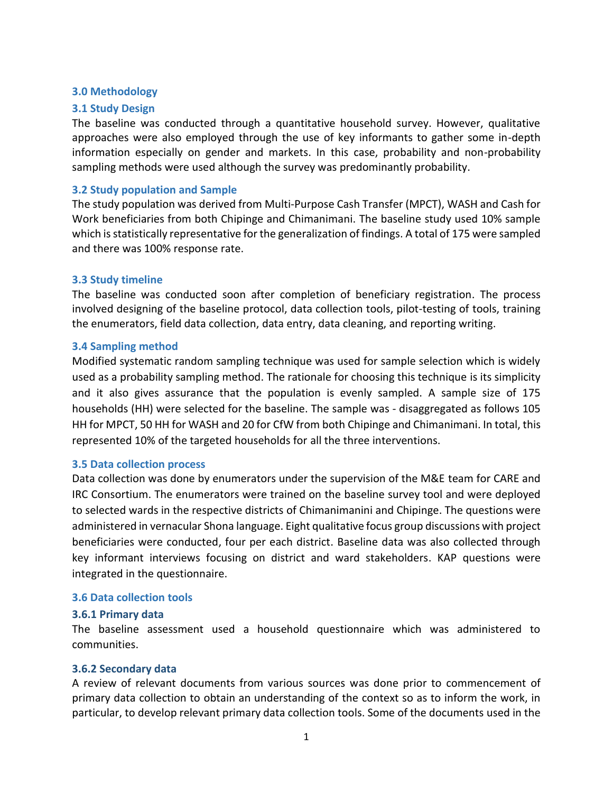#### <span id="page-9-0"></span>**3.0 Methodology**

#### <span id="page-9-1"></span>**3.1 Study Design**

The baseline was conducted through a quantitative household survey. However, qualitative approaches were also employed through the use of key informants to gather some in-depth information especially on gender and markets. In this case, probability and non-probability sampling methods were used although the survey was predominantly probability.

#### <span id="page-9-2"></span>**3.2 Study population and Sample**

The study population was derived from Multi-Purpose Cash Transfer (MPCT), WASH and Cash for Work beneficiaries from both Chipinge and Chimanimani. The baseline study used 10% sample which is statistically representative for the generalization of findings. A total of 175 were sampled and there was 100% response rate.

#### <span id="page-9-3"></span>**3.3 Study timeline**

The baseline was conducted soon after completion of beneficiary registration. The process involved designing of the baseline protocol, data collection tools, pilot-testing of tools, training the enumerators, field data collection, data entry, data cleaning, and reporting writing.

#### <span id="page-9-4"></span>**3.4 Sampling method**

Modified systematic random sampling technique was used for sample selection which is widely used as a probability sampling method. The rationale for choosing this technique is its simplicity and it also gives assurance that the population is evenly sampled. A sample size of 175 households (HH) were selected for the baseline. The sample was - disaggregated as follows 105 HH for MPCT, 50 HH for WASH and 20 for CfW from both Chipinge and Chimanimani. In total, this represented 10% of the targeted households for all the three interventions.

#### <span id="page-9-5"></span>**3.5 Data collection process**

Data collection was done by enumerators under the supervision of the M&E team for CARE and IRC Consortium. The enumerators were trained on the baseline survey tool and were deployed to selected wards in the respective districts of Chimanimanini and Chipinge. The questions were administered in vernacular Shona language. Eight qualitative focus group discussions with project beneficiaries were conducted, four per each district. Baseline data was also collected through key informant interviews focusing on district and ward stakeholders. KAP questions were integrated in the questionnaire.

#### <span id="page-9-6"></span>**3.6 Data collection tools**

#### <span id="page-9-7"></span>**3.6.1 Primary data**

The baseline assessment used a household questionnaire which was administered to communities.

### <span id="page-9-8"></span>**3.6.2 Secondary data**

A review of relevant documents from various sources was done prior to commencement of primary data collection to obtain an understanding of the context so as to inform the work, in particular, to develop relevant primary data collection tools. Some of the documents used in the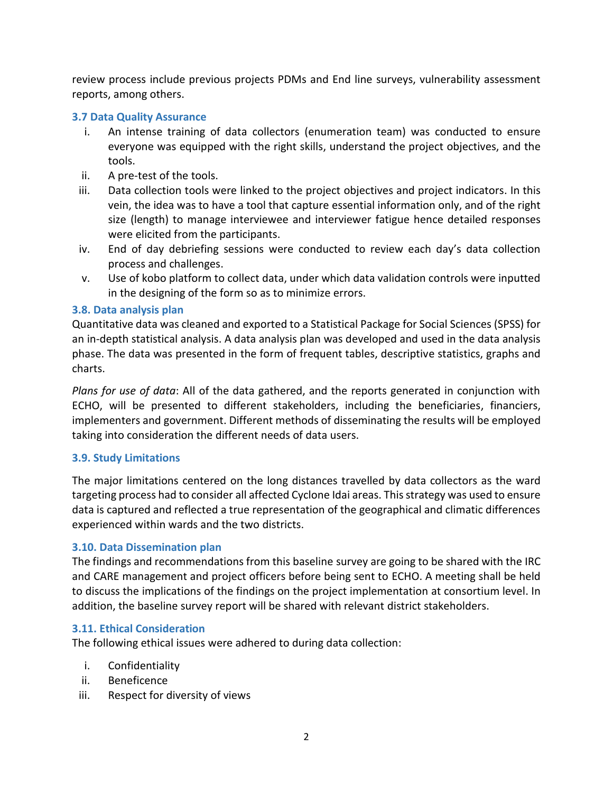review process include previous projects PDMs and End line surveys, vulnerability assessment reports, among others.

### <span id="page-10-0"></span>**3.7 Data Quality Assurance**

- i. An intense training of data collectors (enumeration team) was conducted to ensure everyone was equipped with the right skills, understand the project objectives, and the tools.
- ii. A pre-test of the tools.
- iii. Data collection tools were linked to the project objectives and project indicators. In this vein, the idea was to have a tool that capture essential information only, and of the right size (length) to manage interviewee and interviewer fatigue hence detailed responses were elicited from the participants.
- iv. End of day debriefing sessions were conducted to review each day's data collection process and challenges.
- v. Use of kobo platform to collect data, under which data validation controls were inputted in the designing of the form so as to minimize errors.

### <span id="page-10-1"></span>**3.8. Data analysis plan**

Quantitative data was cleaned and exported to a Statistical Package for Social Sciences (SPSS) for an in-depth statistical analysis. A data analysis plan was developed and used in the data analysis phase. The data was presented in the form of frequent tables, descriptive statistics, graphs and charts.

*Plans for use of data*: All of the data gathered, and the reports generated in conjunction with ECHO, will be presented to different stakeholders, including the beneficiaries, financiers, implementers and government. Different methods of disseminating the results will be employed taking into consideration the different needs of data users.

### **3.9. Study Limitations**

The major limitations centered on the long distances travelled by data collectors as the ward targeting process had to consider all affected Cyclone Idai areas. This strategy was used to ensure data is captured and reflected a true representation of the geographical and climatic differences experienced within wards and the two districts.

### <span id="page-10-2"></span>**3.10. Data Dissemination plan**

The findings and recommendations from this baseline survey are going to be shared with the IRC and CARE management and project officers before being sent to ECHO. A meeting shall be held to discuss the implications of the findings on the project implementation at consortium level. In addition, the baseline survey report will be shared with relevant district stakeholders.

### <span id="page-10-3"></span>**3.11. Ethical Consideration**

The following ethical issues were adhered to during data collection:

- i. Confidentiality
- ii. Beneficence
- iii. Respect for diversity of views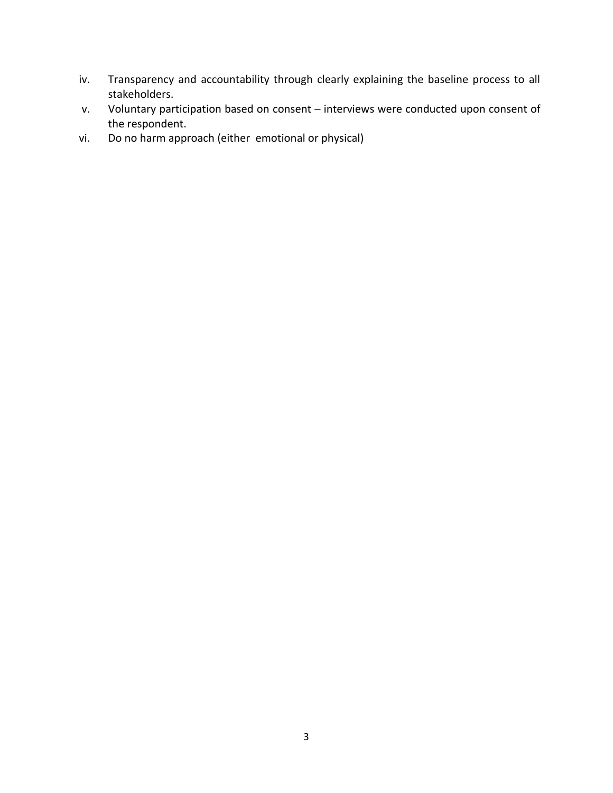- iv. Transparency and accountability through clearly explaining the baseline process to all stakeholders.
- v. Voluntary participation based on consent interviews were conducted upon consent of the respondent.
- vi. Do no harm approach (either emotional or physical)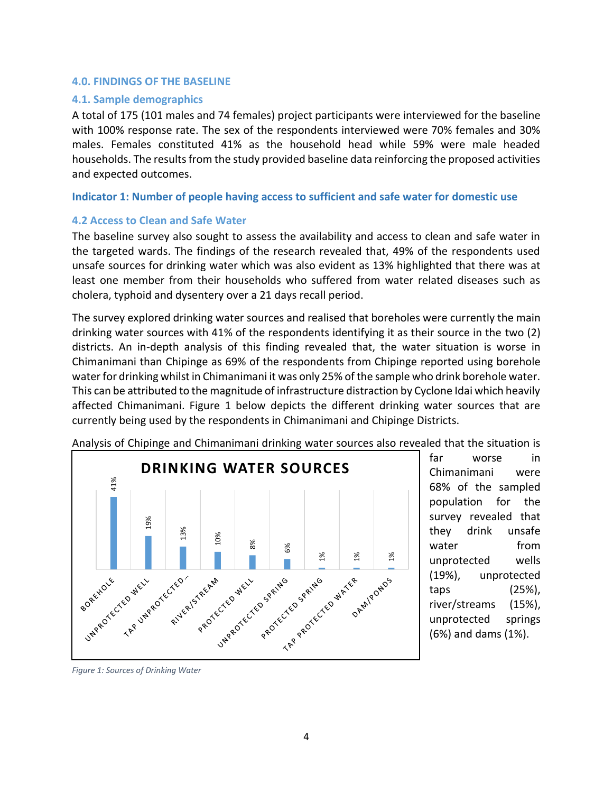#### <span id="page-12-0"></span>**4.0. FINDINGS OF THE BASELINE**

#### <span id="page-12-1"></span>**4.1. Sample demographics**

A total of 175 (101 males and 74 females) project participants were interviewed for the baseline with 100% response rate. The sex of the respondents interviewed were 70% females and 30% males. Females constituted 41% as the household head while 59% were male headed households. The results from the study provided baseline data reinforcing the proposed activities and expected outcomes.

**Indicator 1: Number of people having access to sufficient and safe water for domestic use**

#### <span id="page-12-2"></span>**4.2 Access to Clean and Safe Water**

The baseline survey also sought to assess the availability and access to clean and safe water in the targeted wards. The findings of the research revealed that, 49% of the respondents used unsafe sources for drinking water which was also evident as 13% highlighted that there was at least one member from their households who suffered from water related diseases such as cholera, typhoid and dysentery over a 21 days recall period.

The survey explored drinking water sources and realised that boreholes were currently the main drinking water sources with 41% of the respondents identifying it as their source in the two (2) districts. An in-depth analysis of this finding revealed that, the water situation is worse in Chimanimani than Chipinge as 69% of the respondents from Chipinge reported using borehole water for drinking whilst in Chimanimani it was only 25% of the sample who drink borehole water. This can be attributed to the magnitude of infrastructure distraction by Cyclone Idai which heavily affected Chimanimani. Figure 1 below depicts the different drinking water sources that are currently being used by the respondents in Chimanimani and Chipinge Districts.



Analysis of Chipinge and Chimanimani drinking water sources also revealed that the situation is

far worse in Chimanimani were 68% of the sampled population for the survey revealed that they drink unsafe water from unprotected wells (19%), unprotected taps (25%), river/streams (15%), unprotected springs (6%) and dams (1%).

*Figure 1: Sources of Drinking Water*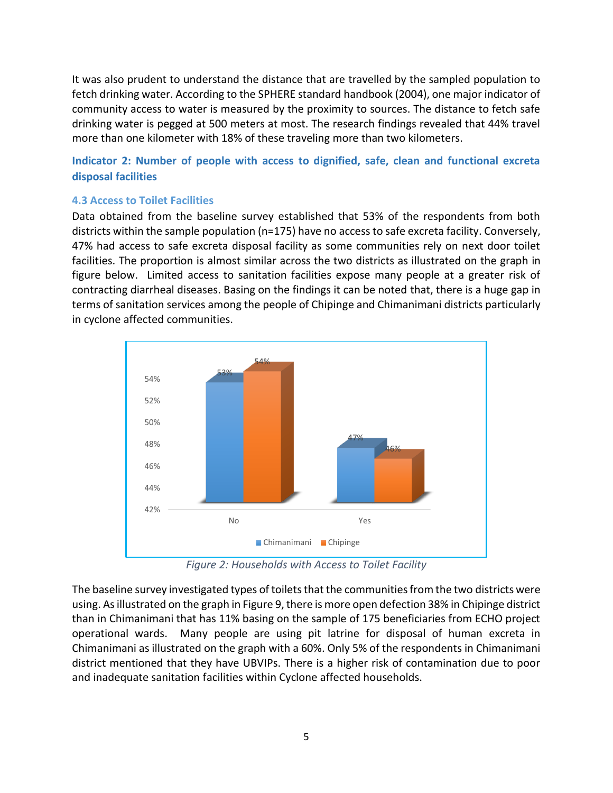It was also prudent to understand the distance that are travelled by the sampled population to fetch drinking water. According to the SPHERE standard handbook (2004), one major indicator of community access to water is measured by the proximity to sources. The distance to fetch safe drinking water is pegged at 500 meters at most. The research findings revealed that 44% travel more than one kilometer with 18% of these traveling more than two kilometers.

**Indicator 2: Number of people with access to dignified, safe, clean and functional excreta disposal facilities**

## <span id="page-13-0"></span>**4.3 Access to Toilet Facilities**

Data obtained from the baseline survey established that 53% of the respondents from both districts within the sample population (n=175) have no access to safe excreta facility. Conversely, 47% had access to safe excreta disposal facility as some communities rely on next door toilet facilities. The proportion is almost similar across the two districts as illustrated on the graph in figure below. Limited access to sanitation facilities expose many people at a greater risk of contracting diarrheal diseases. Basing on the findings it can be noted that, there is a huge gap in terms of sanitation services among the people of Chipinge and Chimanimani districts particularly in cyclone affected communities.



*Figure 2: Households with Access to Toilet Facility*

<span id="page-13-1"></span>The baseline survey investigated types of toilets that the communities from the two districts were using. As illustrated on the graph in Figure 9, there is more open defection 38% in Chipinge district than in Chimanimani that has 11% basing on the sample of 175 beneficiaries from ECHO project operational wards. Many people are using pit latrine for disposal of human excreta in Chimanimani as illustrated on the graph with a 60%. Only 5% of the respondents in Chimanimani district mentioned that they have UBVIPs. There is a higher risk of contamination due to poor and inadequate sanitation facilities within Cyclone affected households.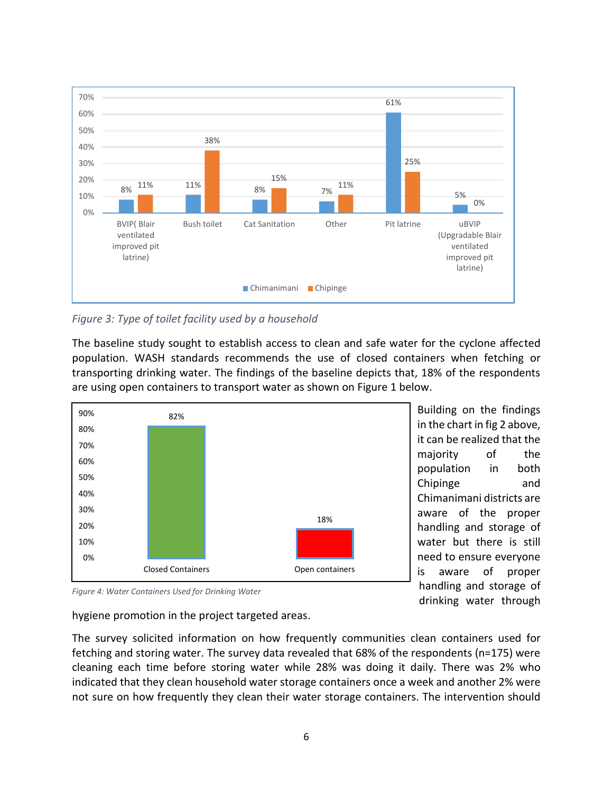

<span id="page-14-0"></span>*Figure 3: Type of toilet facility used by a household*

The baseline study sought to establish access to clean and safe water for the cyclone affected population. WASH standards recommends the use of closed containers when fetching or transporting drinking water. The findings of the baseline depicts that, 18% of the respondents are using open containers to transport water as shown on Figure 1 below.



Building on the findings in the chart in fig 2 above, it can be realized that the majority of the population in both Chipinge and Chimanimani districts are aware of the proper handling and storage of water but there is still need to ensure everyone is aware of proper handling and storage of drinking water through

*Figure 4: Water Containers Used for Drinking Water*

hygiene promotion in the project targeted areas.

The survey solicited information on how frequently communities clean containers used for fetching and storing water. The survey data revealed that 68% of the respondents (n=175) were cleaning each time before storing water while 28% was doing it daily. There was 2% who indicated that they clean household water storage containers once a week and another 2% were not sure on how frequently they clean their water storage containers. The intervention should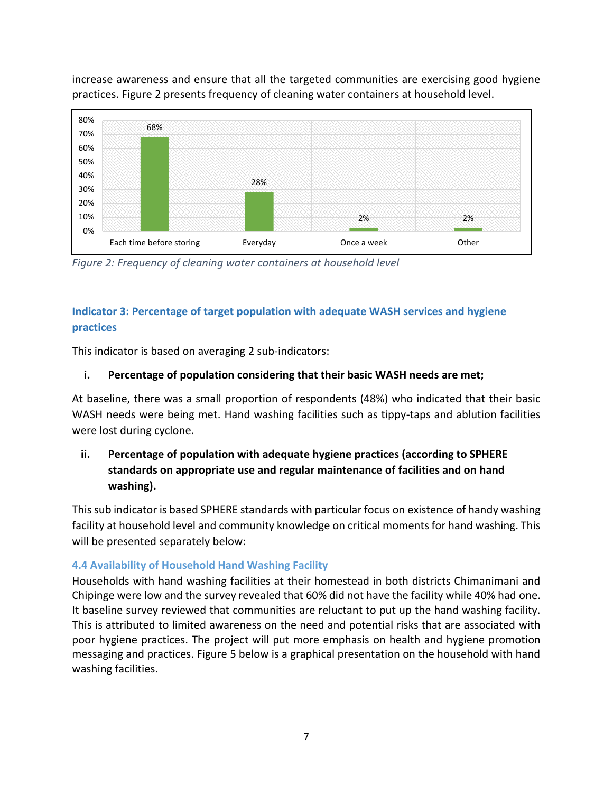increase awareness and ensure that all the targeted communities are exercising good hygiene practices. Figure 2 presents frequency of cleaning water containers at household level.



*Figure 2: Frequency of cleaning water containers at household level*

## **Indicator 3: Percentage of target population with adequate WASH services and hygiene practices**

This indicator is based on averaging 2 sub-indicators:

## **i. Percentage of population considering that their basic WASH needs are met;**

At baseline, there was a small proportion of respondents (48%) who indicated that their basic WASH needs were being met. Hand washing facilities such as tippy-taps and ablution facilities were lost during cyclone.

## **ii. Percentage of population with adequate hygiene practices (according to SPHERE standards on appropriate use and regular maintenance of facilities and on hand washing).**

This sub indicator is based SPHERE standards with particular focus on existence of handy washing facility at household level and community knowledge on critical moments for hand washing. This will be presented separately below:

## <span id="page-15-0"></span>**4.4 Availability of Household Hand Washing Facility**

Households with hand washing facilities at their homestead in both districts Chimanimani and Chipinge were low and the survey revealed that 60% did not have the facility while 40% had one. It baseline survey reviewed that communities are reluctant to put up the hand washing facility. This is attributed to limited awareness on the need and potential risks that are associated with poor hygiene practices. The project will put more emphasis on health and hygiene promotion messaging and practices. Figure 5 below is a graphical presentation on the household with hand washing facilities.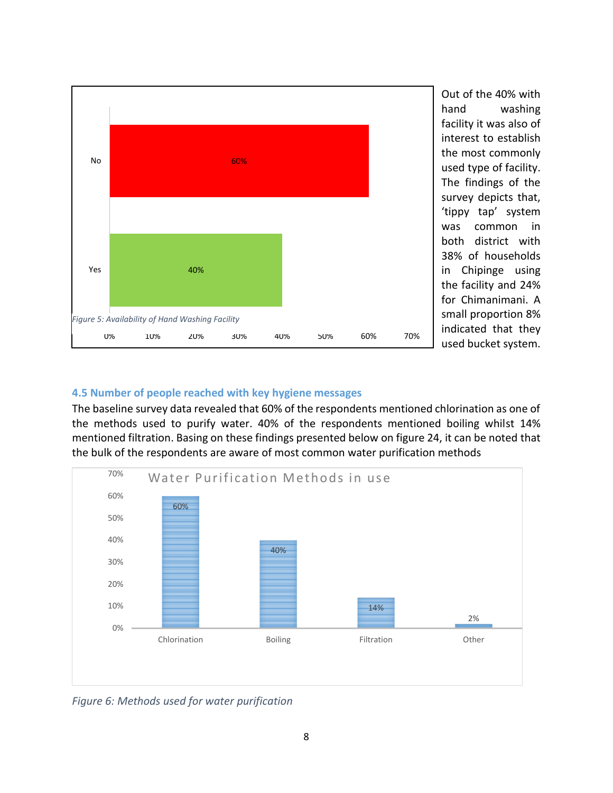

Out of the 40% with hand washing facility it was also of interest to establish the most commonly used type of facility. The findings of the survey depicts that, 'tippy tap' system was common in both district with 38% of households in Chipinge using the facility and 24% for Chimanimani. A small proportion 8% indicated that they used bucket system.

### <span id="page-16-0"></span>**4.5 Number of people reached with key hygiene messages**

The baseline survey data revealed that 60% of the respondents mentioned chlorination as one of the methods used to purify water. 40% of the respondents mentioned boiling whilst 14% mentioned filtration. Basing on these findings presented below on figure 24, it can be noted that the bulk of the respondents are aware of most common water purification methods



<span id="page-16-1"></span>*Figure 6: Methods used for water purification*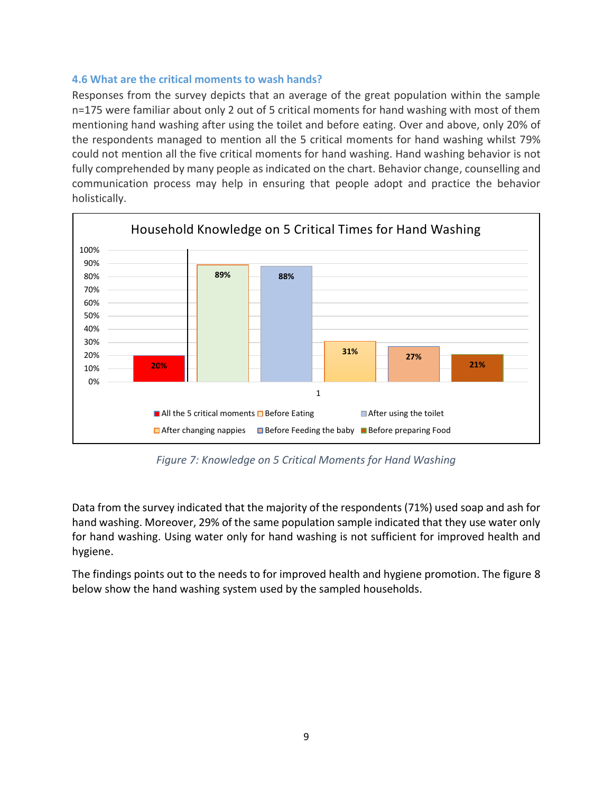### <span id="page-17-0"></span>**4.6 What are the critical moments to wash hands?**

Responses from the survey depicts that an average of the great population within the sample n=175 were familiar about only 2 out of 5 critical moments for hand washing with most of them mentioning hand washing after using the toilet and before eating. Over and above, only 20% of the respondents managed to mention all the 5 critical moments for hand washing whilst 79% could not mention all the five critical moments for hand washing. Hand washing behavior is not fully comprehended by many people as indicated on the chart. Behavior change, counselling and communication process may help in ensuring that people adopt and practice the behavior holistically.



*Figure 7: Knowledge on 5 Critical Moments for Hand Washing*

<span id="page-17-1"></span>Data from the survey indicated that the majority of the respondents (71%) used soap and ash for hand washing. Moreover, 29% of the same population sample indicated that they use water only for hand washing. Using water only for hand washing is not sufficient for improved health and hygiene.

The findings points out to the needs to for improved health and hygiene promotion. The figure 8 below show the hand washing system used by the sampled households.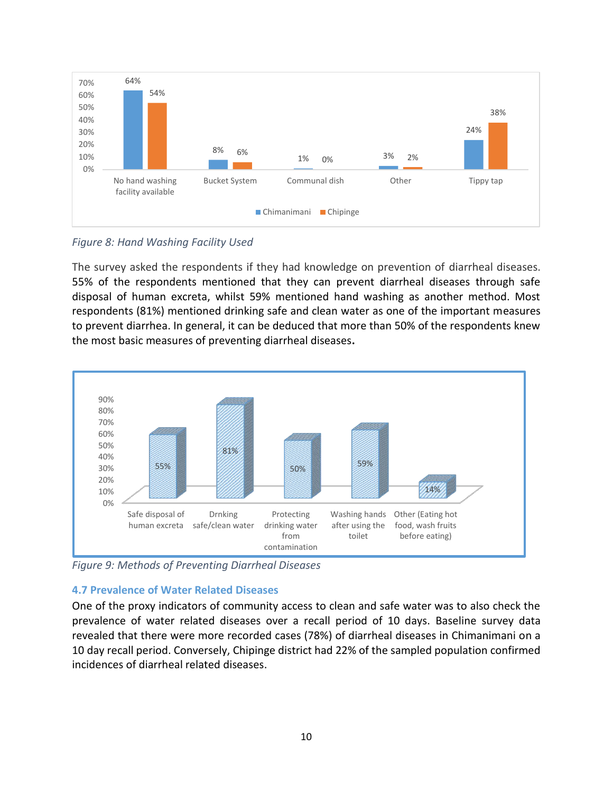

<span id="page-18-1"></span>*Figure 8: Hand Washing Facility Used*

The survey asked the respondents if they had knowledge on prevention of diarrheal diseases. 55% of the respondents mentioned that they can prevent diarrheal diseases through safe disposal of human excreta, whilst 59% mentioned hand washing as another method. Most respondents (81%) mentioned drinking safe and clean water as one of the important measures to prevent diarrhea. In general, it can be deduced that more than 50% of the respondents knew the most basic measures of preventing diarrheal diseases**.**



<span id="page-18-2"></span>*Figure 9: Methods of Preventing Diarrheal Diseases*

## <span id="page-18-0"></span>**4.7 Prevalence of Water Related Diseases**

One of the proxy indicators of community access to clean and safe water was to also check the prevalence of water related diseases over a recall period of 10 days. Baseline survey data revealed that there were more recorded cases (78%) of diarrheal diseases in Chimanimani on a 10 day recall period. Conversely, Chipinge district had 22% of the sampled population confirmed incidences of diarrheal related diseases.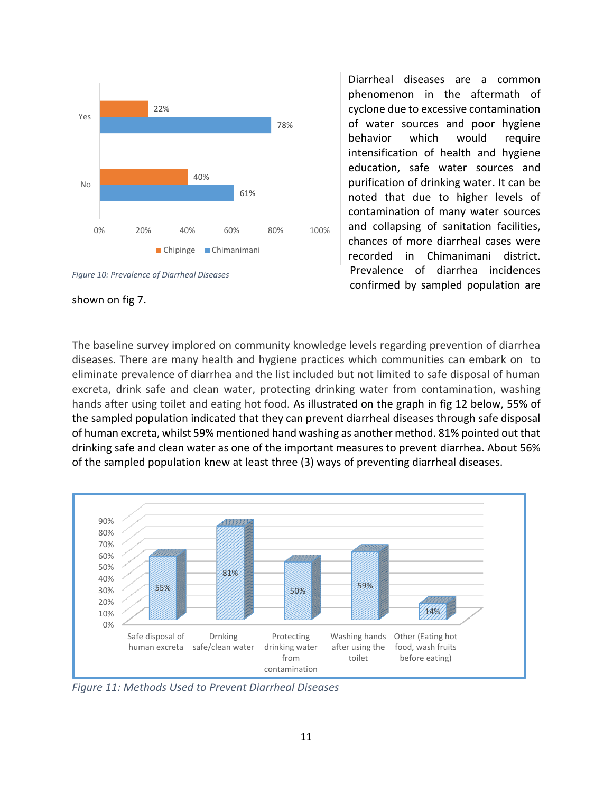



shown on fig 7.

Diarrheal diseases are a common phenomenon in the aftermath of cyclone due to excessive contamination of water sources and poor hygiene behavior which would require intensification of health and hygiene education, safe water sources and purification of drinking water. It can be noted that due to higher levels of contamination of many water sources and collapsing of sanitation facilities, chances of more diarrheal cases were recorded in Chimanimani district. Prevalence of diarrhea incidences confirmed by sampled population are

The baseline survey implored on community knowledge levels regarding prevention of diarrhea diseases. There are many health and hygiene practices which communities can embark on to eliminate prevalence of diarrhea and the list included but not limited to safe disposal of human excreta, drink safe and clean water, protecting drinking water from contamination, washing hands after using toilet and eating hot food. As illustrated on the graph in fig 12 below, 55% of the sampled population indicated that they can prevent diarrheal diseases through safe disposal of human excreta, whilst 59% mentioned hand washing as another method. 81% pointed out that drinking safe and clean water as one of the important measures to prevent diarrhea. About 56% of the sampled population knew at least three (3) ways of preventing diarrheal diseases.



<span id="page-19-0"></span>*Figure 11: Methods Used to Prevent Diarrheal Diseases*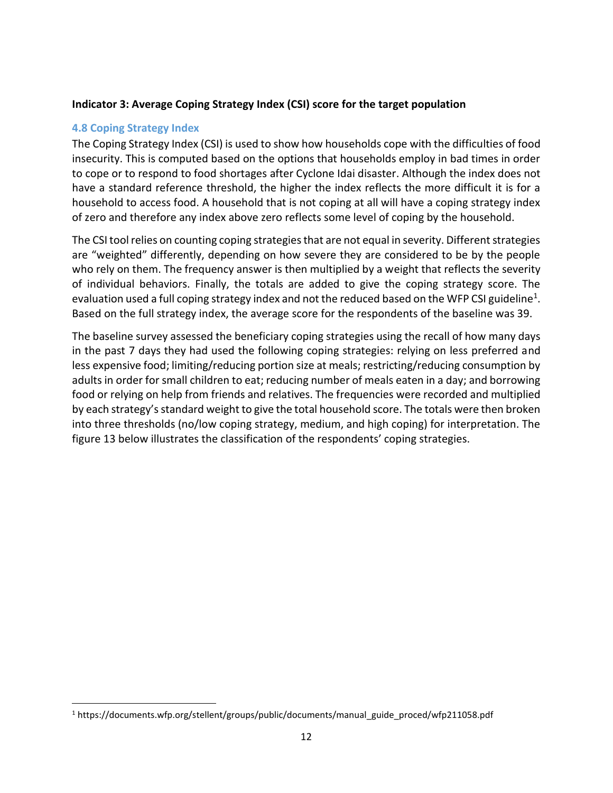### **Indicator 3: Average Coping Strategy Index (CSI) score for the target population**

### <span id="page-20-0"></span>**4.8 Coping Strategy Index**

The Coping Strategy Index (CSI) is used to show how households cope with the difficulties of food insecurity. This is computed based on the options that households employ in bad times in order to cope or to respond to food shortages after Cyclone Idai disaster. Although the index does not have a standard reference threshold, the higher the index reflects the more difficult it is for a household to access food. A household that is not coping at all will have a coping strategy index of zero and therefore any index above zero reflects some level of coping by the household.

The CSI tool relies on counting coping strategies that are not equal in severity. Different strategies are "weighted" differently, depending on how severe they are considered to be by the people who rely on them. The frequency answer is then multiplied by a weight that reflects the severity of individual behaviors. Finally, the totals are added to give the coping strategy score. The evaluation used a full coping strategy index and not the reduced based on the WFP CSI guideline<sup>1</sup>. Based on the full strategy index, the average score for the respondents of the baseline was 39.

The baseline survey assessed the beneficiary coping strategies using the recall of how many days in the past 7 days they had used the following coping strategies: relying on less preferred and less expensive food; limiting/reducing portion size at meals; restricting/reducing consumption by adults in order for small children to eat; reducing number of meals eaten in a day; and borrowing food or relying on help from friends and relatives. The frequencies were recorded and multiplied by each strategy's standard weight to give the total household score. The totals were then broken into three thresholds (no/low coping strategy, medium, and high coping) for interpretation. The figure 13 below illustrates the classification of the respondents' coping strategies.

<sup>1</sup> https://documents.wfp.org/stellent/groups/public/documents/manual\_guide\_proced/wfp211058.pdf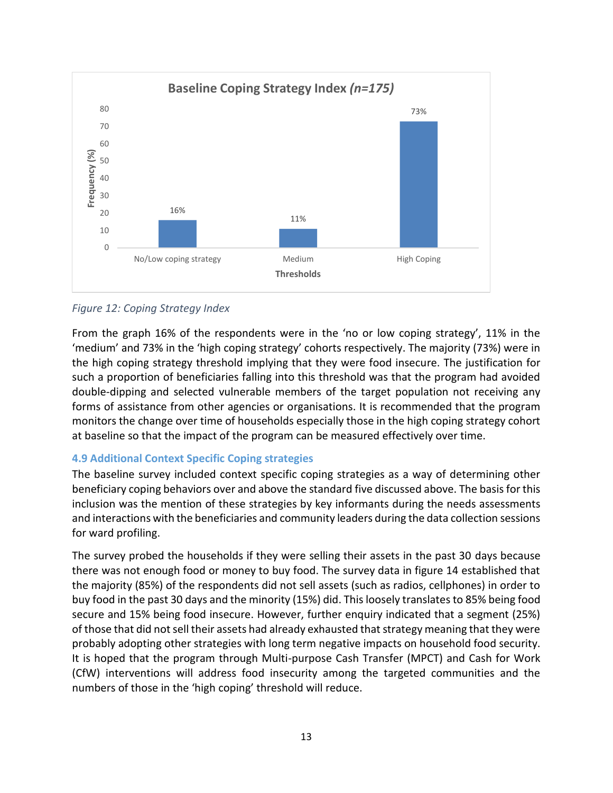

## <span id="page-21-1"></span>*Figure 12: Coping Strategy Index*

From the graph 16% of the respondents were in the 'no or low coping strategy', 11% in the 'medium' and 73% in the 'high coping strategy' cohorts respectively. The majority (73%) were in the high coping strategy threshold implying that they were food insecure. The justification for such a proportion of beneficiaries falling into this threshold was that the program had avoided double-dipping and selected vulnerable members of the target population not receiving any forms of assistance from other agencies or organisations. It is recommended that the program monitors the change over time of households especially those in the high coping strategy cohort at baseline so that the impact of the program can be measured effectively over time.

## <span id="page-21-0"></span>**4.9 Additional Context Specific Coping strategies**

The baseline survey included context specific coping strategies as a way of determining other beneficiary coping behaviors over and above the standard five discussed above. The basis for this inclusion was the mention of these strategies by key informants during the needs assessments and interactions with the beneficiaries and community leaders during the data collection sessions for ward profiling.

The survey probed the households if they were selling their assets in the past 30 days because there was not enough food or money to buy food. The survey data in figure 14 established that the majority (85%) of the respondents did not sell assets (such as radios, cellphones) in order to buy food in the past 30 days and the minority (15%) did. This loosely translates to 85% being food secure and 15% being food insecure. However, further enquiry indicated that a segment (25%) of those that did not sell their assets had already exhausted that strategy meaning that they were probably adopting other strategies with long term negative impacts on household food security. It is hoped that the program through Multi-purpose Cash Transfer (MPCT) and Cash for Work (CfW) interventions will address food insecurity among the targeted communities and the numbers of those in the 'high coping' threshold will reduce.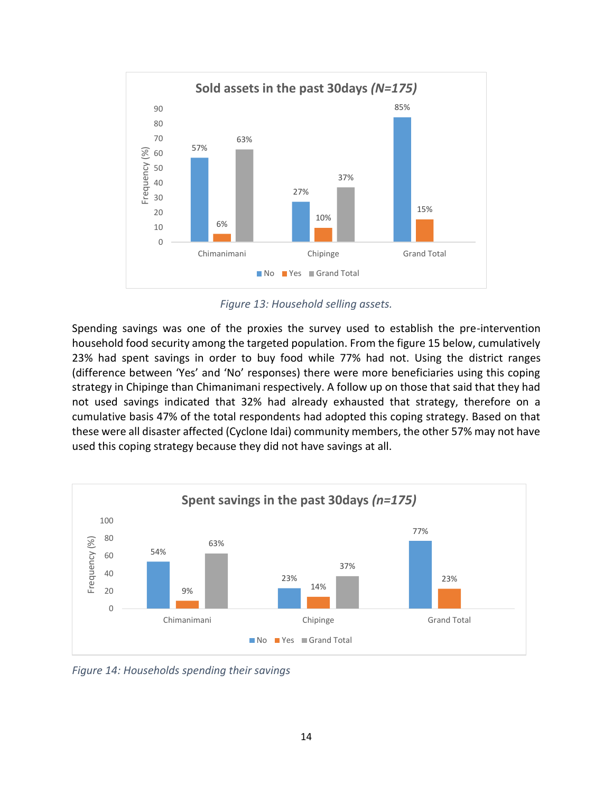

*Figure 13: Household selling assets.*

<span id="page-22-0"></span>Spending savings was one of the proxies the survey used to establish the pre-intervention household food security among the targeted population. From the figure 15 below, cumulatively 23% had spent savings in order to buy food while 77% had not. Using the district ranges (difference between 'Yes' and 'No' responses) there were more beneficiaries using this coping strategy in Chipinge than Chimanimani respectively. A follow up on those that said that they had not used savings indicated that 32% had already exhausted that strategy, therefore on a cumulative basis 47% of the total respondents had adopted this coping strategy. Based on that these were all disaster affected (Cyclone Idai) community members, the other 57% may not have used this coping strategy because they did not have savings at all.



<span id="page-22-1"></span>*Figure 14: Households spending their savings*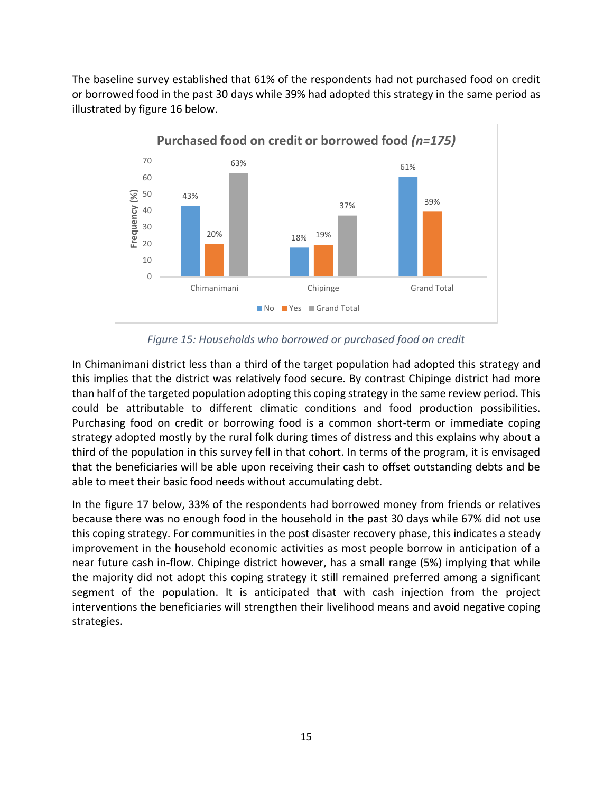The baseline survey established that 61% of the respondents had not purchased food on credit or borrowed food in the past 30 days while 39% had adopted this strategy in the same period as illustrated by figure 16 below.



*Figure 15: Households who borrowed or purchased food on credit*

<span id="page-23-0"></span>In Chimanimani district less than a third of the target population had adopted this strategy and this implies that the district was relatively food secure. By contrast Chipinge district had more than half of the targeted population adopting this coping strategy in the same review period. This could be attributable to different climatic conditions and food production possibilities. Purchasing food on credit or borrowing food is a common short-term or immediate coping strategy adopted mostly by the rural folk during times of distress and this explains why about a third of the population in this survey fell in that cohort. In terms of the program, it is envisaged that the beneficiaries will be able upon receiving their cash to offset outstanding debts and be able to meet their basic food needs without accumulating debt.

In the figure 17 below, 33% of the respondents had borrowed money from friends or relatives because there was no enough food in the household in the past 30 days while 67% did not use this coping strategy. For communities in the post disaster recovery phase, this indicates a steady improvement in the household economic activities as most people borrow in anticipation of a near future cash in-flow. Chipinge district however, has a small range (5%) implying that while the majority did not adopt this coping strategy it still remained preferred among a significant segment of the population. It is anticipated that with cash injection from the project interventions the beneficiaries will strengthen their livelihood means and avoid negative coping strategies.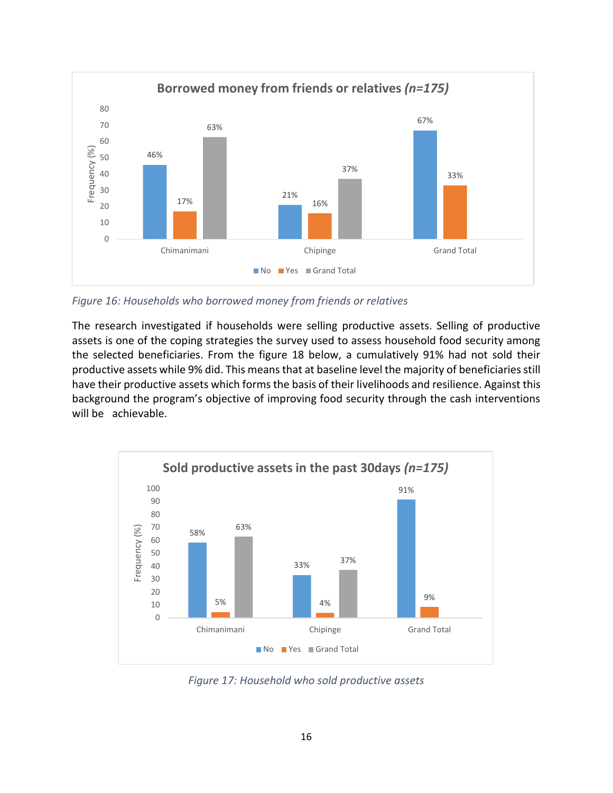

<span id="page-24-0"></span>*Figure 16: Households who borrowed money from friends or relatives* 

The research investigated if households were selling productive assets. Selling of productive assets is one of the coping strategies the survey used to assess household food security among the selected beneficiaries. From the figure 18 below, a cumulatively 91% had not sold their productive assets while 9% did. This means that at baseline level the majority of beneficiaries still have their productive assets which forms the basis of their livelihoods and resilience. Against this background the program's objective of improving food security through the cash interventions will be achievable.



<span id="page-24-1"></span>*Figure 17: Household who sold productive assets*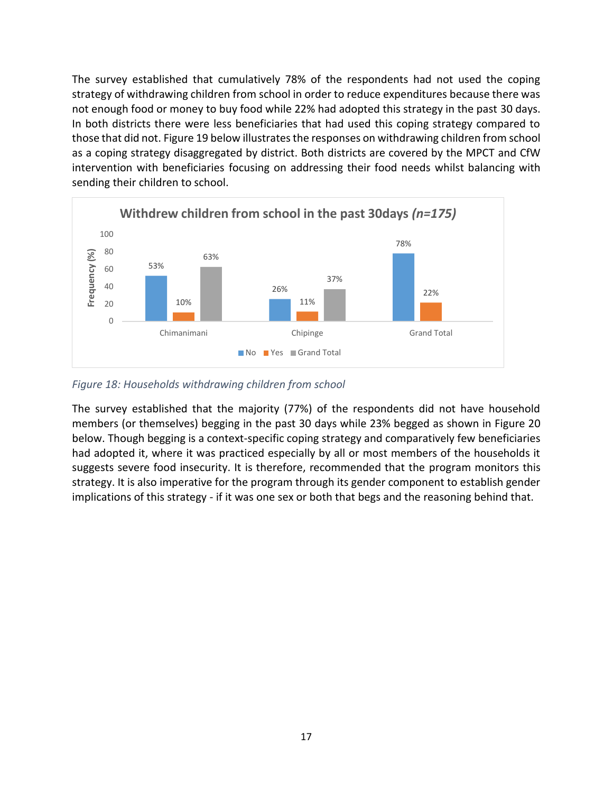The survey established that cumulatively 78% of the respondents had not used the coping strategy of withdrawing children from school in order to reduce expenditures because there was not enough food or money to buy food while 22% had adopted this strategy in the past 30 days. In both districts there were less beneficiaries that had used this coping strategy compared to those that did not. Figure 19 below illustrates the responses on withdrawing children from school as a coping strategy disaggregated by district. Both districts are covered by the MPCT and CfW intervention with beneficiaries focusing on addressing their food needs whilst balancing with sending their children to school.



<span id="page-25-0"></span>*Figure 18: Households withdrawing children from school* 

The survey established that the majority (77%) of the respondents did not have household members (or themselves) begging in the past 30 days while 23% begged as shown in Figure 20 below. Though begging is a context-specific coping strategy and comparatively few beneficiaries had adopted it, where it was practiced especially by all or most members of the households it suggests severe food insecurity. It is therefore, recommended that the program monitors this strategy. It is also imperative for the program through its gender component to establish gender implications of this strategy - if it was one sex or both that begs and the reasoning behind that.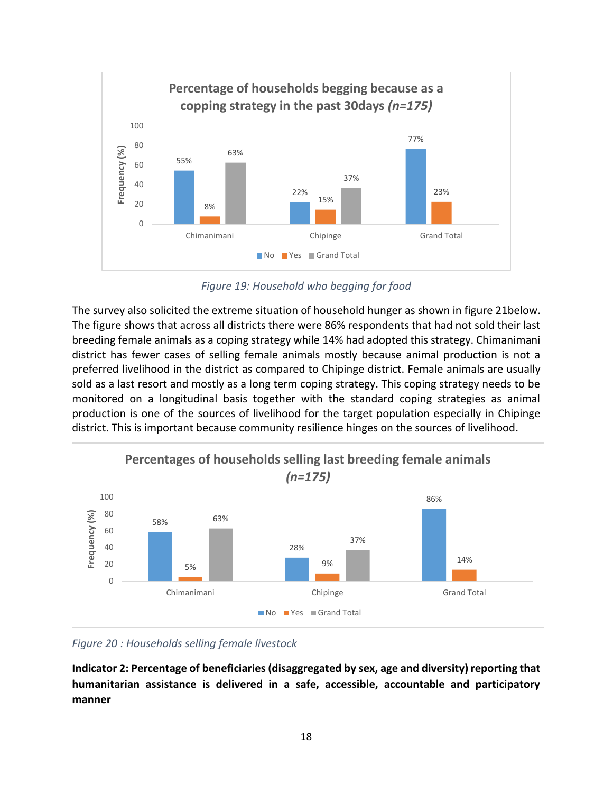

*Figure 19: Household who begging for food*

<span id="page-26-0"></span>The survey also solicited the extreme situation of household hunger as shown in figure 21below. The figure shows that across all districts there were 86% respondents that had not sold their last breeding female animals as a coping strategy while 14% had adopted this strategy. Chimanimani district has fewer cases of selling female animals mostly because animal production is not a preferred livelihood in the district as compared to Chipinge district. Female animals are usually sold as a last resort and mostly as a long term coping strategy. This coping strategy needs to be monitored on a longitudinal basis together with the standard coping strategies as animal production is one of the sources of livelihood for the target population especially in Chipinge district. This is important because community resilience hinges on the sources of livelihood.



<span id="page-26-1"></span>*Figure 20 : Households selling female livestock* 

**Indicator 2: Percentage of beneficiaries (disaggregated by sex, age and diversity) reporting that humanitarian assistance is delivered in a safe, accessible, accountable and participatory manner**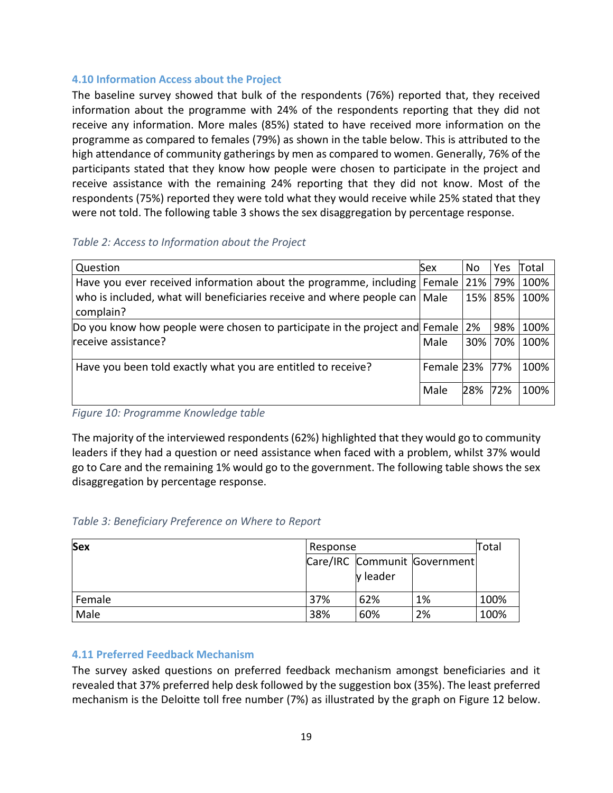### <span id="page-27-0"></span>**4.10 Information Access about the Project**

The baseline survey showed that bulk of the respondents (76%) reported that, they received information about the programme with 24% of the respondents reporting that they did not receive any information. More males (85%) stated to have received more information on the programme as compared to females (79%) as shown in the table below. This is attributed to the high attendance of community gatherings by men as compared to women. Generally, 76% of the participants stated that they know how people were chosen to participate in the project and receive assistance with the remaining 24% reporting that they did not know. Most of the respondents (75%) reported they were told what they would receive while 25% stated that they were not told. The following table 3 shows the sex disaggregation by percentage response.

### <span id="page-27-2"></span>*Table 2: Access to Information about the Project*

| Question                                                                                  | Sex        | No.     | Yes     | Total |
|-------------------------------------------------------------------------------------------|------------|---------|---------|-------|
| Have you ever received information about the programme, including Female                  |            | 21% 79% |         | 100%  |
| who is included, what will beneficiaries receive and where people can   Male<br>complain? |            |         | 15% 85% | 100%  |
| Do you know how people were chosen to participate in the project and Female               |            | 2%      | 98%     | 100%  |
| receive assistance?                                                                       | Male       | 30%     | 70%     | 100%  |
| Have you been told exactly what you are entitled to receive?                              | Female 23% |         | 77%     | 100%  |
|                                                                                           | Male       | 28%     | 72%     | 100%  |

*Figure 10: Programme Knowledge table*

The majority of the interviewed respondents (62%) highlighted that they would go to community leaders if they had a question or need assistance when faced with a problem, whilst 37% would go to Care and the remaining 1% would go to the government. The following table shows the sex disaggregation by percentage response.

### <span id="page-27-3"></span>*Table 3: Beneficiary Preference on Where to Report*

| <b>Sex</b> | Response |                 |                              | Total |
|------------|----------|-----------------|------------------------------|-------|
|            |          | <b>v</b> leader | Care/IRC Communit Government |       |
| Female     | 37%      | 62%             | 1%                           | 100%  |
| Male       | 38%      | 60%             | 2%                           | 100%  |

### <span id="page-27-1"></span>**4.11 Preferred Feedback Mechanism**

The survey asked questions on preferred feedback mechanism amongst beneficiaries and it revealed that 37% preferred help desk followed by the suggestion box (35%). The least preferred mechanism is the Deloitte toll free number (7%) as illustrated by the graph on Figure 12 below.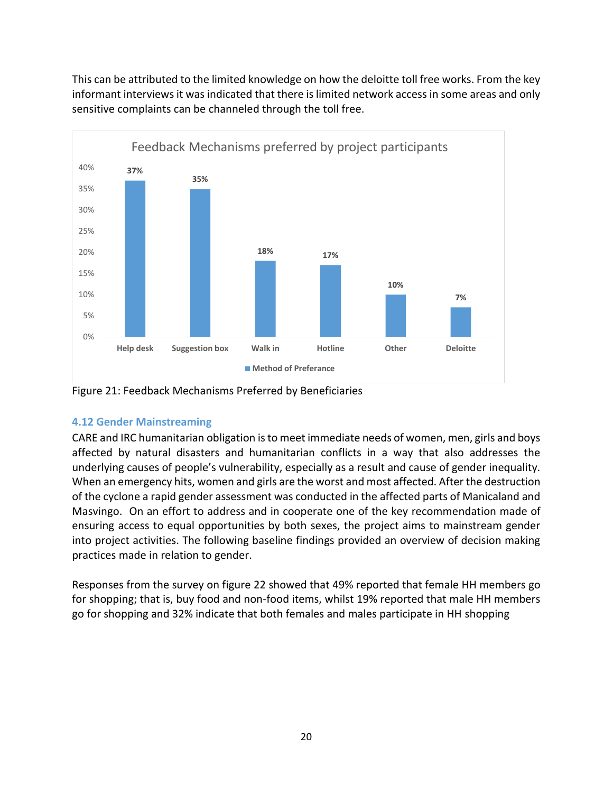



<span id="page-28-1"></span>Figure 21: Feedback Mechanisms Preferred by Beneficiaries

## <span id="page-28-0"></span>**4.12 Gender Mainstreaming**

CARE and IRC humanitarian obligation is to meet immediate needs of women, men, girls and boys affected by natural disasters and humanitarian conflicts in a way that also addresses the underlying causes of people's vulnerability, especially as a result and cause of gender inequality. When an emergency hits, women and girls are the worst and most affected. After the destruction of the cyclone a rapid gender assessment was conducted in the affected parts of Manicaland and Masvingo. On an effort to address and in cooperate one of the key recommendation made of ensuring access to equal opportunities by both sexes, the project aims to mainstream gender into project activities. The following baseline findings provided an overview of decision making practices made in relation to gender.

Responses from the survey on figure 22 showed that 49% reported that female HH members go for shopping; that is, buy food and non-food items, whilst 19% reported that male HH members go for shopping and 32% indicate that both females and males participate in HH shopping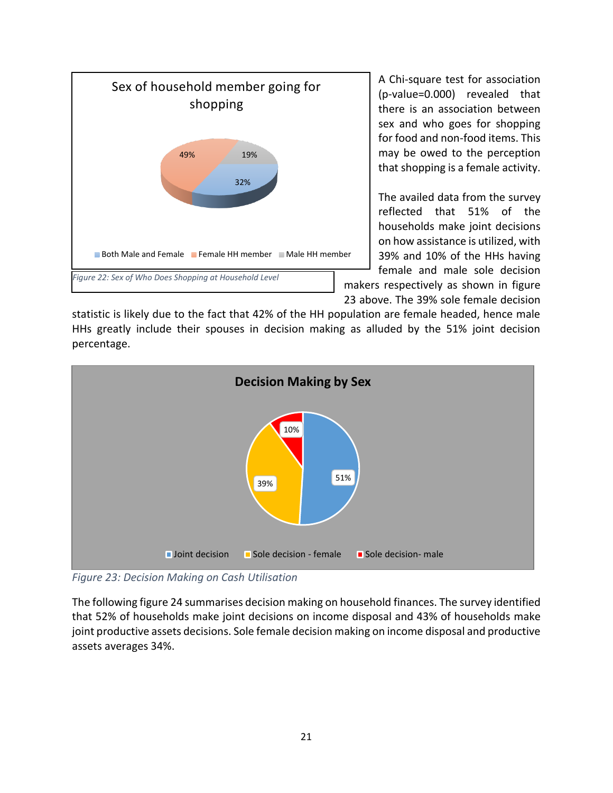

A Chi-square test for association (p-value=0.000) revealed that there is an association between sex and who goes for shopping for food and non-food items. This may be owed to the perception that shopping is a female activity.

The availed data from the survey reflected that 51% of the households make joint decisions on how assistance is utilized, with 39% and 10% of the HHs having female and male sole decision makers respectively as shown in figure 23 above. The 39% sole female decision

statistic is likely due to the fact that 42% of the HH population are female headed, hence male HHs greatly include their spouses in decision making as alluded by the 51% joint decision percentage.



<span id="page-29-0"></span>*Figure 23: Decision Making on Cash Utilisation*

The following figure 24 summarises decision making on household finances. The survey identified that 52% of households make joint decisions on income disposal and 43% of households make joint productive assets decisions. Sole female decision making on income disposal and productive assets averages 34%.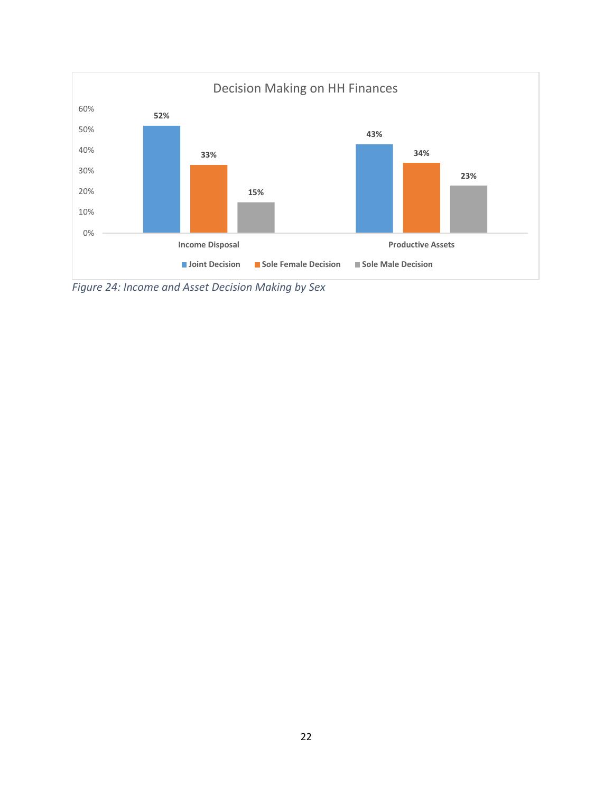

<span id="page-30-0"></span>*Figure 24: Income and Asset Decision Making by Sex*